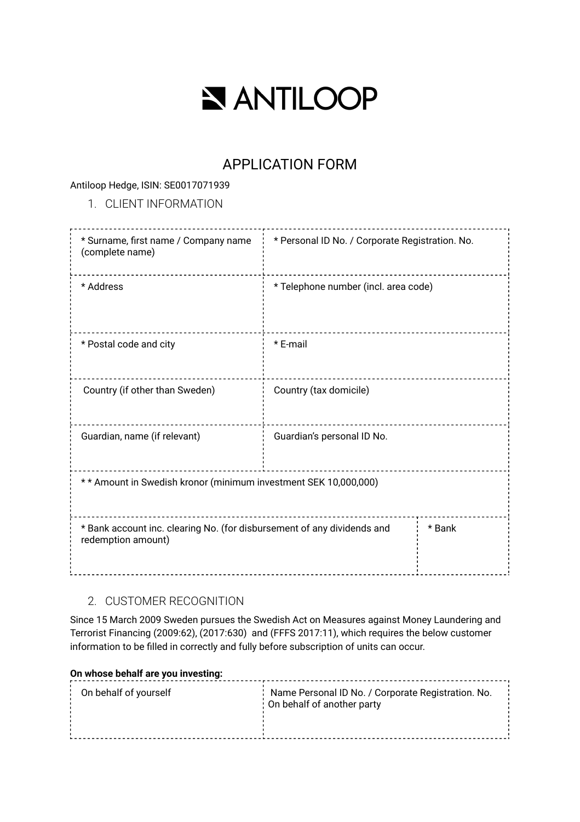# **NANTILOOP**

# APPLICATION FORM

### Antiloop Hedge, ISIN: SE0017071939

# 1. CLIENT INFORMATION

| * Surname, first name / Company name<br>(complete name)                                       | * Personal ID No. / Corporate Registration. No. |        |  |  |
|-----------------------------------------------------------------------------------------------|-------------------------------------------------|--------|--|--|
| * Address                                                                                     | * Telephone number (incl. area code)            |        |  |  |
| * Postal code and city                                                                        | * E-mail                                        |        |  |  |
| Country (if other than Sweden)                                                                | Country (tax domicile)                          |        |  |  |
| Guardian, name (if relevant)                                                                  | Guardian's personal ID No.                      |        |  |  |
| ** Amount in Swedish kronor (minimum investment SEK 10,000,000)                               |                                                 |        |  |  |
| * Bank account inc. clearing No. (for disbursement of any dividends and<br>redemption amount) |                                                 | * Bank |  |  |

# 2. CUSTOMER RECOGNITION

Since 15 March 2009 Sweden pursues the Swedish Act on Measures against Money Laundering and Terrorist Financing (2009:62), (2017:630) and (FFFS 2017:11), which requires the below customer information to be filled in correctly and fully before subscription of units can occur.

# **On whose behalf are you investing:**

| On behalf of yourself | Name Personal ID No. / Corporate Registration. No.<br>: On behalf of another party |  |
|-----------------------|------------------------------------------------------------------------------------|--|
|                       |                                                                                    |  |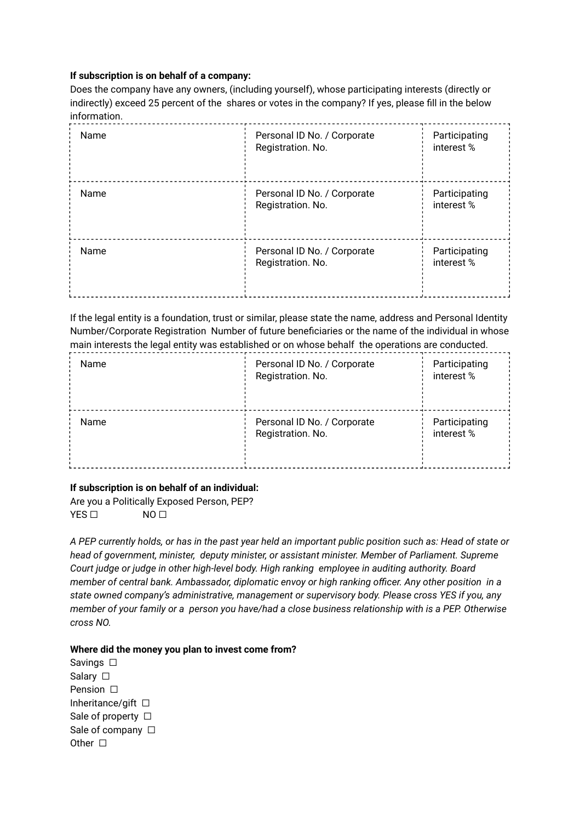#### **If subscription is on behalf of a company:**

Does the company have any owners, (including yourself), whose participating interests (directly or indirectly) exceed 25 percent of the shares or votes in the company? If yes, please fill in the below information.

| Name | Personal ID No. / Corporate<br>Registration. No. | Participating<br>interest%  |
|------|--------------------------------------------------|-----------------------------|
| Name | Personal ID No. / Corporate<br>Registration. No. | Participating<br>interest % |
| Name | Personal ID No. / Corporate<br>Registration. No. | Participating<br>interest % |

If the legal entity is a foundation, trust or similar, please state the name, address and Personal Identity Number/Corporate Registration Number of future beneficiaries or the name of the individual in whose main interests the legal entity was established or on whose behalf the operations are conducted.

| Name | Personal ID No. / Corporate<br>Registration. No. | Participating<br>interest% |
|------|--------------------------------------------------|----------------------------|
| Name | Personal ID No. / Corporate<br>Registration. No. | Participating<br>interest% |

# **If subscription is on behalf of an individual:**

Are you a Politically Exposed Person, PEP? YES □ NO □

A PEP currently holds, or has in the past year held an important public position such as: Head of state or *head of government, minister, deputy minister, or assistant minister. Member of Parliament. Supreme Court judge or judge in other high-level body. High ranking employee in auditing authority. Board member of central bank. Ambassador, diplomatic envoy or high ranking officer. Any other position in a state owned company's administrative, management or supervisory body. Please cross YES if you, any member of your family or a person you have/had a close business relationship with is a PEP. Otherwise cross NO.*

# **Where did the money you plan to invest come from?**

Savings □ Salary □ **Pension** □ Inheritance/gift  $□$ Sale of property □ Sale of company □ Other  $\Box$